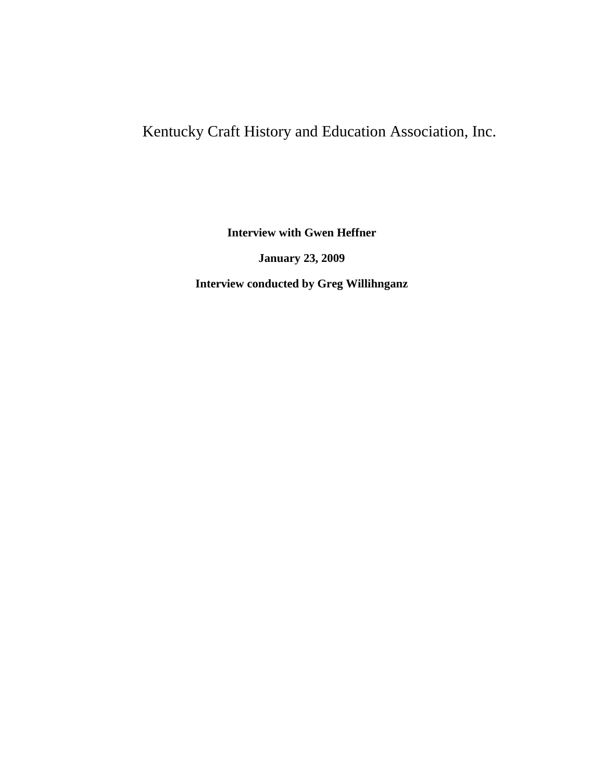# Kentucky Craft History and Education Association, Inc.

**Interview with Gwen Heffner**

**January 23, 2009**

**Interview conducted by Greg Willihnganz**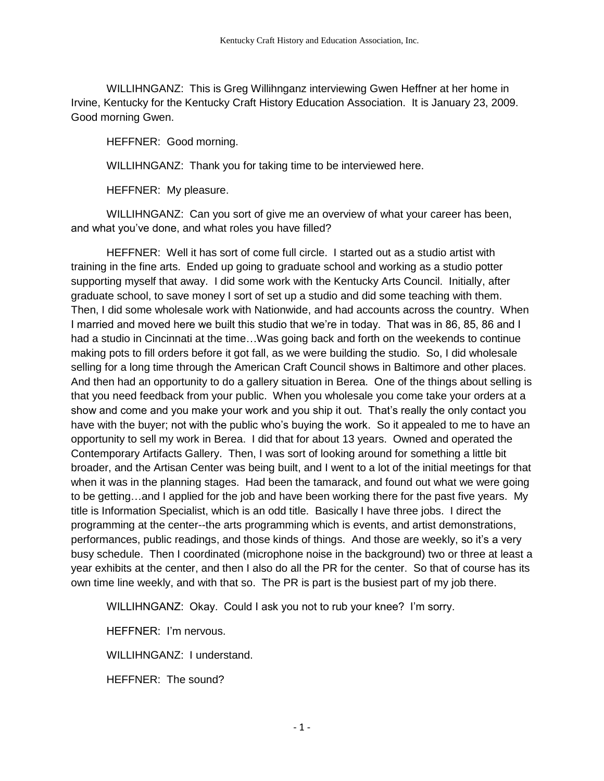WILLIHNGANZ: This is Greg Willihnganz interviewing Gwen Heffner at her home in Irvine, Kentucky for the Kentucky Craft History Education Association. It is January 23, 2009. Good morning Gwen.

HEFFNER: Good morning.

WILLIHNGANZ: Thank you for taking time to be interviewed here.

HEFFNER: My pleasure.

WILLIHNGANZ: Can you sort of give me an overview of what your career has been, and what you've done, and what roles you have filled?

HEFFNER: Well it has sort of come full circle. I started out as a studio artist with training in the fine arts. Ended up going to graduate school and working as a studio potter supporting myself that away. I did some work with the Kentucky Arts Council. Initially, after graduate school, to save money I sort of set up a studio and did some teaching with them. Then, I did some wholesale work with Nationwide, and had accounts across the country. When I married and moved here we built this studio that we're in today. That was in 86, 85, 86 and I had a studio in Cincinnati at the time…Was going back and forth on the weekends to continue making pots to fill orders before it got fall, as we were building the studio. So, I did wholesale selling for a long time through the American Craft Council shows in Baltimore and other places. And then had an opportunity to do a gallery situation in Berea. One of the things about selling is that you need feedback from your public. When you wholesale you come take your orders at a show and come and you make your work and you ship it out. That's really the only contact you have with the buyer; not with the public who's buying the work. So it appealed to me to have an opportunity to sell my work in Berea. I did that for about 13 years. Owned and operated the Contemporary Artifacts Gallery. Then, I was sort of looking around for something a little bit broader, and the Artisan Center was being built, and I went to a lot of the initial meetings for that when it was in the planning stages. Had been the tamarack, and found out what we were going to be getting…and I applied for the job and have been working there for the past five years. My title is Information Specialist, which is an odd title. Basically I have three jobs. I direct the programming at the center--the arts programming which is events, and artist demonstrations, performances, public readings, and those kinds of things. And those are weekly, so it's a very busy schedule. Then I coordinated (microphone noise in the background) two or three at least a year exhibits at the center, and then I also do all the PR for the center. So that of course has its own time line weekly, and with that so. The PR is part is the busiest part of my job there.

WILLIHNGANZ: Okay. Could I ask you not to rub your knee? I'm sorry.

HEFFNER: I'm nervous.

WILLIHNGANZ: I understand.

HEFFNER: The sound?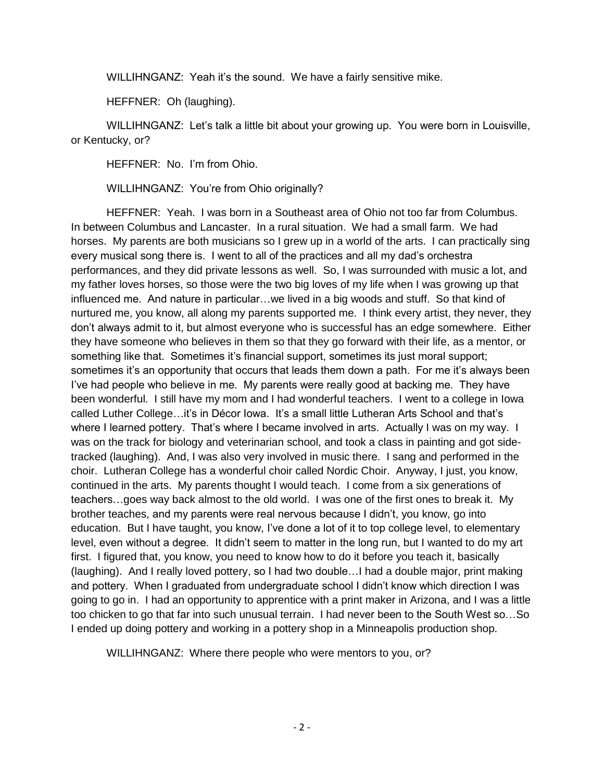WILLIHNGANZ: Yeah it's the sound. We have a fairly sensitive mike.

HEFFNER: Oh (laughing).

WILLIHNGANZ: Let's talk a little bit about your growing up. You were born in Louisville, or Kentucky, or?

HEFFNER: No. I'm from Ohio.

WILLIHNGANZ: You're from Ohio originally?

HEFFNER: Yeah. I was born in a Southeast area of Ohio not too far from Columbus. In between Columbus and Lancaster. In a rural situation. We had a small farm. We had horses. My parents are both musicians so I grew up in a world of the arts. I can practically sing every musical song there is. I went to all of the practices and all my dad's orchestra performances, and they did private lessons as well. So, I was surrounded with music a lot, and my father loves horses, so those were the two big loves of my life when I was growing up that influenced me. And nature in particular…we lived in a big woods and stuff. So that kind of nurtured me, you know, all along my parents supported me. I think every artist, they never, they don't always admit to it, but almost everyone who is successful has an edge somewhere. Either they have someone who believes in them so that they go forward with their life, as a mentor, or something like that. Sometimes it's financial support, sometimes its just moral support; sometimes it's an opportunity that occurs that leads them down a path. For me it's always been I've had people who believe in me. My parents were really good at backing me. They have been wonderful. I still have my mom and I had wonderful teachers. I went to a college in Iowa called Luther College…it's in Décor Iowa. It's a small little Lutheran Arts School and that's where I learned pottery. That's where I became involved in arts. Actually I was on my way. I was on the track for biology and veterinarian school, and took a class in painting and got sidetracked (laughing). And, I was also very involved in music there. I sang and performed in the choir. Lutheran College has a wonderful choir called Nordic Choir. Anyway, I just, you know, continued in the arts. My parents thought I would teach. I come from a six generations of teachers…goes way back almost to the old world. I was one of the first ones to break it. My brother teaches, and my parents were real nervous because I didn't, you know, go into education. But I have taught, you know, I've done a lot of it to top college level, to elementary level, even without a degree. It didn't seem to matter in the long run, but I wanted to do my art first. I figured that, you know, you need to know how to do it before you teach it, basically (laughing). And I really loved pottery, so I had two double…I had a double major, print making and pottery. When I graduated from undergraduate school I didn't know which direction I was going to go in. I had an opportunity to apprentice with a print maker in Arizona, and I was a little too chicken to go that far into such unusual terrain. I had never been to the South West so…So I ended up doing pottery and working in a pottery shop in a Minneapolis production shop.

WILLIHNGANZ: Where there people who were mentors to you, or?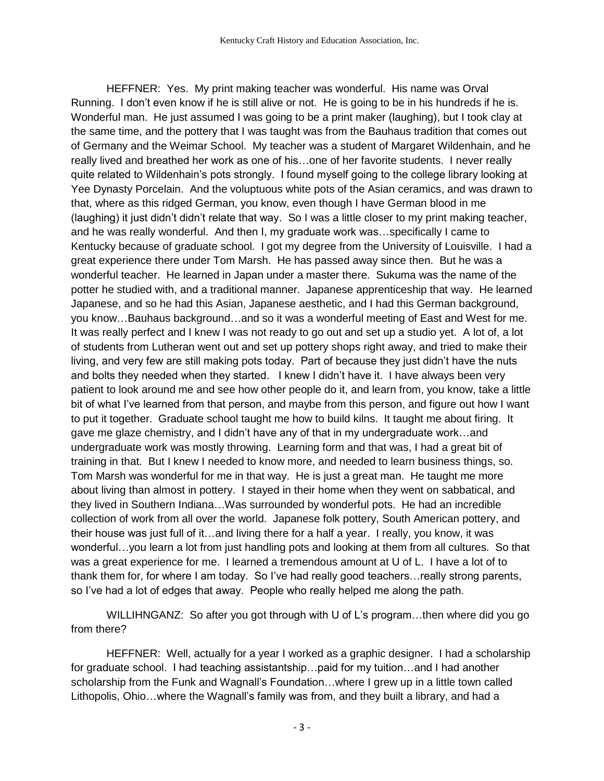HEFFNER: Yes. My print making teacher was wonderful. His name was Orval Running. I don't even know if he is still alive or not. He is going to be in his hundreds if he is. Wonderful man. He just assumed I was going to be a print maker (laughing), but I took clay at the same time, and the pottery that I was taught was from the Bauhaus tradition that comes out of Germany and the Weimar School. My teacher was a student of Margaret Wildenhain, and he really lived and breathed her work as one of his…one of her favorite students. I never really quite related to Wildenhain's pots strongly. I found myself going to the college library looking at Yee Dynasty Porcelain. And the voluptuous white pots of the Asian ceramics, and was drawn to that, where as this ridged German, you know, even though I have German blood in me (laughing) it just didn't didn't relate that way. So I was a little closer to my print making teacher, and he was really wonderful. And then I, my graduate work was…specifically I came to Kentucky because of graduate school. I got my degree from the University of Louisville. I had a great experience there under Tom Marsh. He has passed away since then. But he was a wonderful teacher. He learned in Japan under a master there. Sukuma was the name of the potter he studied with, and a traditional manner. Japanese apprenticeship that way. He learned Japanese, and so he had this Asian, Japanese aesthetic, and I had this German background, you know…Bauhaus background…and so it was a wonderful meeting of East and West for me. It was really perfect and I knew I was not ready to go out and set up a studio yet. A lot of, a lot of students from Lutheran went out and set up pottery shops right away, and tried to make their living, and very few are still making pots today. Part of because they just didn't have the nuts and bolts they needed when they started. I knew I didn't have it. I have always been very patient to look around me and see how other people do it, and learn from, you know, take a little bit of what I've learned from that person, and maybe from this person, and figure out how I want to put it together. Graduate school taught me how to build kilns. It taught me about firing. It gave me glaze chemistry, and I didn't have any of that in my undergraduate work…and undergraduate work was mostly throwing. Learning form and that was, I had a great bit of training in that. But I knew I needed to know more, and needed to learn business things, so. Tom Marsh was wonderful for me in that way. He is just a great man. He taught me more about living than almost in pottery. I stayed in their home when they went on sabbatical, and they lived in Southern Indiana…Was surrounded by wonderful pots. He had an incredible collection of work from all over the world. Japanese folk pottery, South American pottery, and their house was just full of it…and living there for a half a year. I really, you know, it was wonderful…you learn a lot from just handling pots and looking at them from all cultures. So that was a great experience for me. I learned a tremendous amount at U of L. I have a lot of to thank them for, for where I am today. So I've had really good teachers…really strong parents, so I've had a lot of edges that away. People who really helped me along the path.

WILLIHNGANZ: So after you got through with U of L's program...then where did you go from there?

HEFFNER: Well, actually for a year I worked as a graphic designer. I had a scholarship for graduate school. I had teaching assistantship…paid for my tuition…and I had another scholarship from the Funk and Wagnall's Foundation…where I grew up in a little town called Lithopolis, Ohio…where the Wagnall's family was from, and they built a library, and had a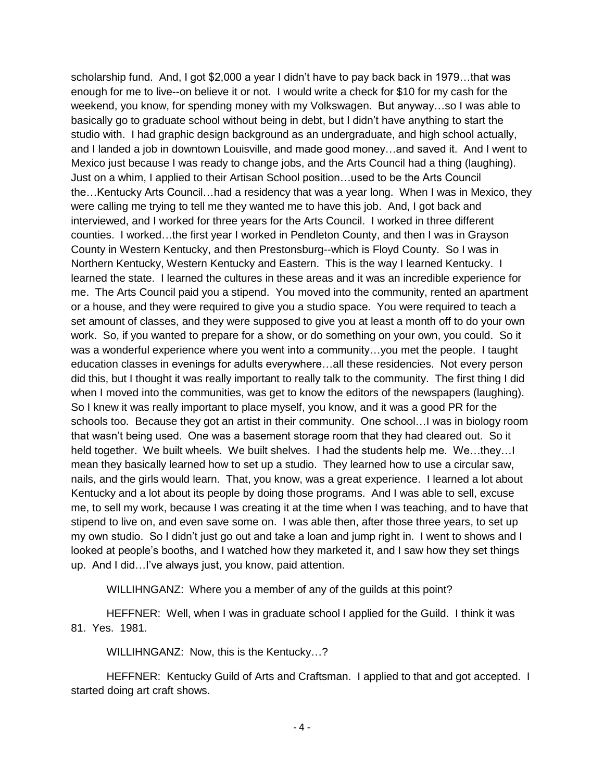scholarship fund. And, I got \$2,000 a year I didn't have to pay back back in 1979…that was enough for me to live--on believe it or not. I would write a check for \$10 for my cash for the weekend, you know, for spending money with my Volkswagen. But anyway…so I was able to basically go to graduate school without being in debt, but I didn't have anything to start the studio with. I had graphic design background as an undergraduate, and high school actually, and I landed a job in downtown Louisville, and made good money…and saved it. And I went to Mexico just because I was ready to change jobs, and the Arts Council had a thing (laughing). Just on a whim, I applied to their Artisan School position…used to be the Arts Council the…Kentucky Arts Council…had a residency that was a year long. When I was in Mexico, they were calling me trying to tell me they wanted me to have this job. And, I got back and interviewed, and I worked for three years for the Arts Council. I worked in three different counties. I worked…the first year I worked in Pendleton County, and then I was in Grayson County in Western Kentucky, and then Prestonsburg--which is Floyd County. So I was in Northern Kentucky, Western Kentucky and Eastern. This is the way I learned Kentucky. I learned the state. I learned the cultures in these areas and it was an incredible experience for me. The Arts Council paid you a stipend. You moved into the community, rented an apartment or a house, and they were required to give you a studio space. You were required to teach a set amount of classes, and they were supposed to give you at least a month off to do your own work. So, if you wanted to prepare for a show, or do something on your own, you could. So it was a wonderful experience where you went into a community…you met the people. I taught education classes in evenings for adults everywhere…all these residencies. Not every person did this, but I thought it was really important to really talk to the community. The first thing I did when I moved into the communities, was get to know the editors of the newspapers (laughing). So I knew it was really important to place myself, you know, and it was a good PR for the schools too. Because they got an artist in their community. One school…I was in biology room that wasn't being used. One was a basement storage room that they had cleared out. So it held together. We built wheels. We built shelves. I had the students help me. We…they…I mean they basically learned how to set up a studio. They learned how to use a circular saw, nails, and the girls would learn. That, you know, was a great experience. I learned a lot about Kentucky and a lot about its people by doing those programs. And I was able to sell, excuse me, to sell my work, because I was creating it at the time when I was teaching, and to have that stipend to live on, and even save some on. I was able then, after those three years, to set up my own studio. So I didn't just go out and take a loan and jump right in. I went to shows and I looked at people's booths, and I watched how they marketed it, and I saw how they set things up. And I did…I've always just, you know, paid attention.

WILLIHNGANZ: Where you a member of any of the guilds at this point?

HEFFNER: Well, when I was in graduate school I applied for the Guild. I think it was 81. Yes. 1981.

WILLIHNGANZ: Now, this is the Kentucky…?

HEFFNER: Kentucky Guild of Arts and Craftsman. I applied to that and got accepted. I started doing art craft shows.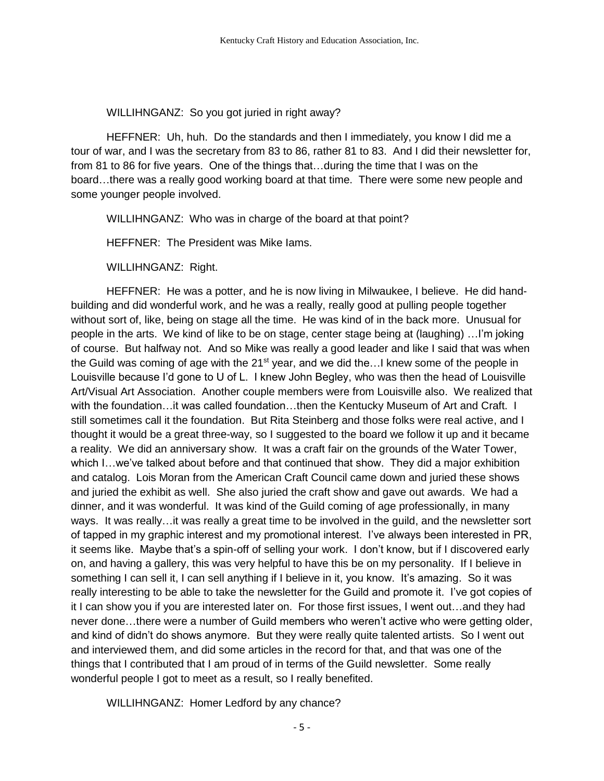WILLIHNGANZ: So you got juried in right away?

HEFFNER: Uh, huh. Do the standards and then I immediately, you know I did me a tour of war, and I was the secretary from 83 to 86, rather 81 to 83. And I did their newsletter for, from 81 to 86 for five years. One of the things that…during the time that I was on the board…there was a really good working board at that time. There were some new people and some younger people involved.

WILLIHNGANZ: Who was in charge of the board at that point?

HEFFNER: The President was Mike Iams.

WILLIHNGANZ: Right.

HEFFNER: He was a potter, and he is now living in Milwaukee, I believe. He did handbuilding and did wonderful work, and he was a really, really good at pulling people together without sort of, like, being on stage all the time. He was kind of in the back more. Unusual for people in the arts. We kind of like to be on stage, center stage being at (laughing) …I'm joking of course. But halfway not. And so Mike was really a good leader and like I said that was when the Guild was coming of age with the  $21^{st}$  year, and we did the... I knew some of the people in Louisville because I'd gone to U of L. I knew John Begley, who was then the head of Louisville Art/Visual Art Association. Another couple members were from Louisville also. We realized that with the foundation...it was called foundation...then the Kentucky Museum of Art and Craft. I still sometimes call it the foundation. But Rita Steinberg and those folks were real active, and I thought it would be a great three-way, so I suggested to the board we follow it up and it became a reality. We did an anniversary show. It was a craft fair on the grounds of the Water Tower, which I…we've talked about before and that continued that show. They did a major exhibition and catalog. Lois Moran from the American Craft Council came down and juried these shows and juried the exhibit as well. She also juried the craft show and gave out awards. We had a dinner, and it was wonderful. It was kind of the Guild coming of age professionally, in many ways. It was really…it was really a great time to be involved in the guild, and the newsletter sort of tapped in my graphic interest and my promotional interest. I've always been interested in PR, it seems like. Maybe that's a spin-off of selling your work. I don't know, but if I discovered early on, and having a gallery, this was very helpful to have this be on my personality. If I believe in something I can sell it, I can sell anything if I believe in it, you know. It's amazing. So it was really interesting to be able to take the newsletter for the Guild and promote it. I've got copies of it I can show you if you are interested later on. For those first issues, I went out…and they had never done…there were a number of Guild members who weren't active who were getting older, and kind of didn't do shows anymore. But they were really quite talented artists. So I went out and interviewed them, and did some articles in the record for that, and that was one of the things that I contributed that I am proud of in terms of the Guild newsletter. Some really wonderful people I got to meet as a result, so I really benefited.

WILLIHNGANZ: Homer Ledford by any chance?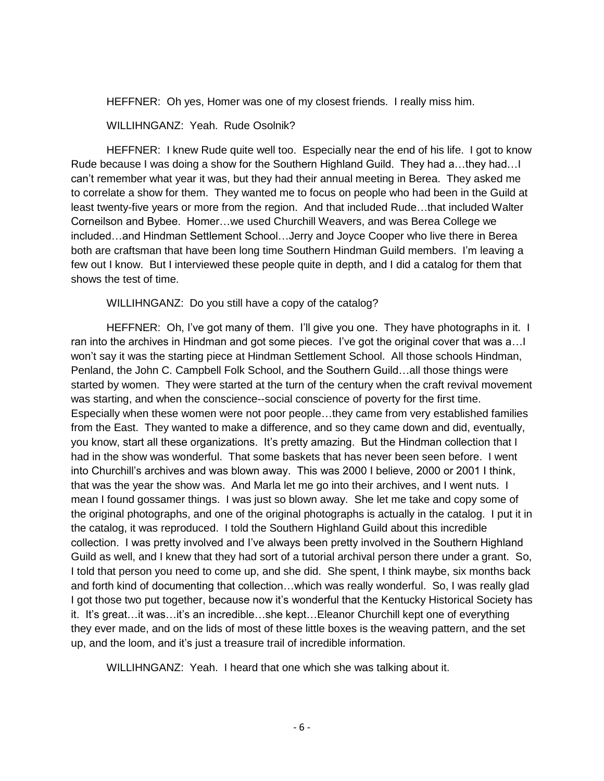HEFFNER: Oh yes, Homer was one of my closest friends. I really miss him.

#### WILLIHNGANZ: Yeah. Rude Osolnik?

HEFFNER: I knew Rude quite well too. Especially near the end of his life. I got to know Rude because I was doing a show for the Southern Highland Guild. They had a…they had…I can't remember what year it was, but they had their annual meeting in Berea. They asked me to correlate a show for them. They wanted me to focus on people who had been in the Guild at least twenty-five years or more from the region. And that included Rude…that included Walter Corneilson and Bybee. Homer…we used Churchill Weavers, and was Berea College we included…and Hindman Settlement School…Jerry and Joyce Cooper who live there in Berea both are craftsman that have been long time Southern Hindman Guild members. I'm leaving a few out I know. But I interviewed these people quite in depth, and I did a catalog for them that shows the test of time.

WILLIHNGANZ: Do you still have a copy of the catalog?

HEFFNER: Oh, I've got many of them. I'll give you one. They have photographs in it. I ran into the archives in Hindman and got some pieces. I've got the original cover that was a…I won't say it was the starting piece at Hindman Settlement School. All those schools Hindman, Penland, the John C. Campbell Folk School, and the Southern Guild…all those things were started by women. They were started at the turn of the century when the craft revival movement was starting, and when the conscience--social conscience of poverty for the first time. Especially when these women were not poor people…they came from very established families from the East. They wanted to make a difference, and so they came down and did, eventually, you know, start all these organizations. It's pretty amazing. But the Hindman collection that I had in the show was wonderful. That some baskets that has never been seen before. I went into Churchill's archives and was blown away. This was 2000 I believe, 2000 or 2001 I think, that was the year the show was. And Marla let me go into their archives, and I went nuts. I mean I found gossamer things. I was just so blown away. She let me take and copy some of the original photographs, and one of the original photographs is actually in the catalog. I put it in the catalog, it was reproduced. I told the Southern Highland Guild about this incredible collection. I was pretty involved and I've always been pretty involved in the Southern Highland Guild as well, and I knew that they had sort of a tutorial archival person there under a grant. So, I told that person you need to come up, and she did. She spent, I think maybe, six months back and forth kind of documenting that collection…which was really wonderful. So, I was really glad I got those two put together, because now it's wonderful that the Kentucky Historical Society has it. It's great…it was…it's an incredible…she kept…Eleanor Churchill kept one of everything they ever made, and on the lids of most of these little boxes is the weaving pattern, and the set up, and the loom, and it's just a treasure trail of incredible information.

WILLIHNGANZ: Yeah. I heard that one which she was talking about it.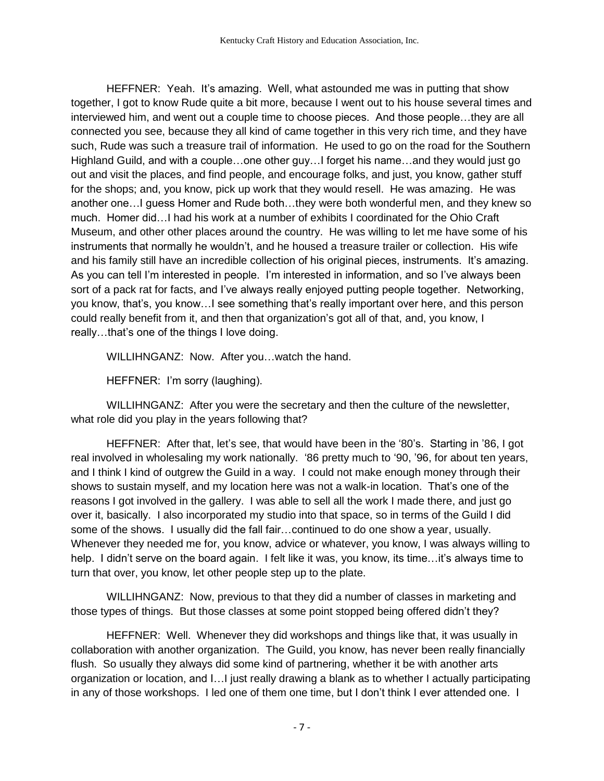HEFFNER: Yeah. It's amazing. Well, what astounded me was in putting that show together, I got to know Rude quite a bit more, because I went out to his house several times and interviewed him, and went out a couple time to choose pieces. And those people…they are all connected you see, because they all kind of came together in this very rich time, and they have such, Rude was such a treasure trail of information. He used to go on the road for the Southern Highland Guild, and with a couple…one other guy…I forget his name…and they would just go out and visit the places, and find people, and encourage folks, and just, you know, gather stuff for the shops; and, you know, pick up work that they would resell. He was amazing. He was another one…I guess Homer and Rude both…they were both wonderful men, and they knew so much. Homer did…I had his work at a number of exhibits I coordinated for the Ohio Craft Museum, and other other places around the country. He was willing to let me have some of his instruments that normally he wouldn't, and he housed a treasure trailer or collection. His wife and his family still have an incredible collection of his original pieces, instruments. It's amazing. As you can tell I'm interested in people. I'm interested in information, and so I've always been sort of a pack rat for facts, and I've always really enjoyed putting people together. Networking, you know, that's, you know…I see something that's really important over here, and this person could really benefit from it, and then that organization's got all of that, and, you know, I really…that's one of the things I love doing.

WILLIHNGANZ: Now. After you…watch the hand.

HEFFNER: I'm sorry (laughing).

WILLIHNGANZ: After you were the secretary and then the culture of the newsletter, what role did you play in the years following that?

HEFFNER: After that, let's see, that would have been in the '80's. Starting in '86, I got real involved in wholesaling my work nationally. '86 pretty much to '90, '96, for about ten years, and I think I kind of outgrew the Guild in a way. I could not make enough money through their shows to sustain myself, and my location here was not a walk-in location. That's one of the reasons I got involved in the gallery. I was able to sell all the work I made there, and just go over it, basically. I also incorporated my studio into that space, so in terms of the Guild I did some of the shows. I usually did the fall fair…continued to do one show a year, usually. Whenever they needed me for, you know, advice or whatever, you know, I was always willing to help. I didn't serve on the board again. I felt like it was, you know, its time...it's always time to turn that over, you know, let other people step up to the plate.

WILLIHNGANZ: Now, previous to that they did a number of classes in marketing and those types of things. But those classes at some point stopped being offered didn't they?

HEFFNER: Well. Whenever they did workshops and things like that, it was usually in collaboration with another organization. The Guild, you know, has never been really financially flush. So usually they always did some kind of partnering, whether it be with another arts organization or location, and I…I just really drawing a blank as to whether I actually participating in any of those workshops. I led one of them one time, but I don't think I ever attended one. I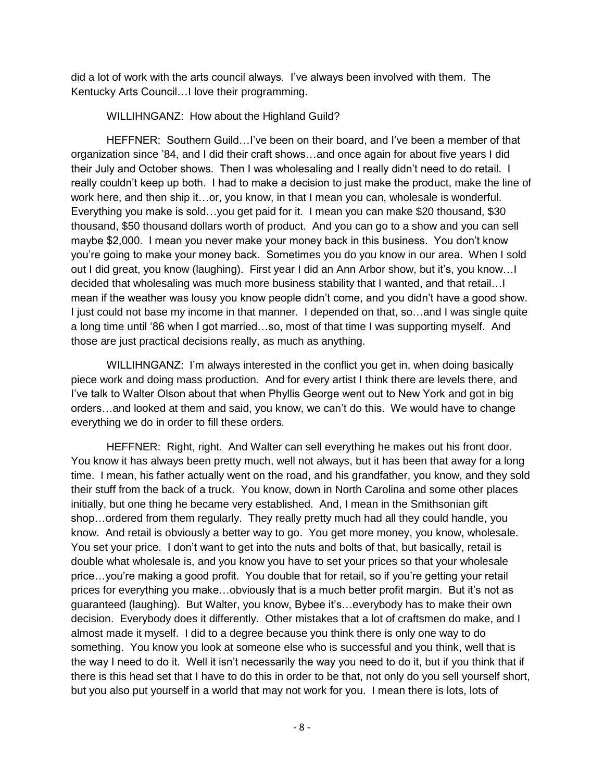did a lot of work with the arts council always. I've always been involved with them. The Kentucky Arts Council…I love their programming.

WILLIHNGANZ: How about the Highland Guild?

HEFFNER: Southern Guild…I've been on their board, and I've been a member of that organization since '84, and I did their craft shows…and once again for about five years I did their July and October shows. Then I was wholesaling and I really didn't need to do retail. I really couldn't keep up both. I had to make a decision to just make the product, make the line of work here, and then ship it…or, you know, in that I mean you can, wholesale is wonderful. Everything you make is sold…you get paid for it. I mean you can make \$20 thousand, \$30 thousand, \$50 thousand dollars worth of product. And you can go to a show and you can sell maybe \$2,000. I mean you never make your money back in this business. You don't know you're going to make your money back. Sometimes you do you know in our area. When I sold out I did great, you know (laughing). First year I did an Ann Arbor show, but it's, you know…I decided that wholesaling was much more business stability that I wanted, and that retail…I mean if the weather was lousy you know people didn't come, and you didn't have a good show. I just could not base my income in that manner. I depended on that, so…and I was single quite a long time until '86 when I got married…so, most of that time I was supporting myself. And those are just practical decisions really, as much as anything.

WILLIHNGANZ: I'm always interested in the conflict you get in, when doing basically piece work and doing mass production. And for every artist I think there are levels there, and I've talk to Walter Olson about that when Phyllis George went out to New York and got in big orders…and looked at them and said, you know, we can't do this. We would have to change everything we do in order to fill these orders.

HEFFNER: Right, right. And Walter can sell everything he makes out his front door. You know it has always been pretty much, well not always, but it has been that away for a long time. I mean, his father actually went on the road, and his grandfather, you know, and they sold their stuff from the back of a truck. You know, down in North Carolina and some other places initially, but one thing he became very established. And, I mean in the Smithsonian gift shop…ordered from them regularly. They really pretty much had all they could handle, you know. And retail is obviously a better way to go. You get more money, you know, wholesale. You set your price. I don't want to get into the nuts and bolts of that, but basically, retail is double what wholesale is, and you know you have to set your prices so that your wholesale price…you're making a good profit. You double that for retail, so if you're getting your retail prices for everything you make…obviously that is a much better profit margin. But it's not as guaranteed (laughing). But Walter, you know, Bybee it's…everybody has to make their own decision. Everybody does it differently. Other mistakes that a lot of craftsmen do make, and I almost made it myself. I did to a degree because you think there is only one way to do something. You know you look at someone else who is successful and you think, well that is the way I need to do it. Well it isn't necessarily the way you need to do it, but if you think that if there is this head set that I have to do this in order to be that, not only do you sell yourself short, but you also put yourself in a world that may not work for you. I mean there is lots, lots of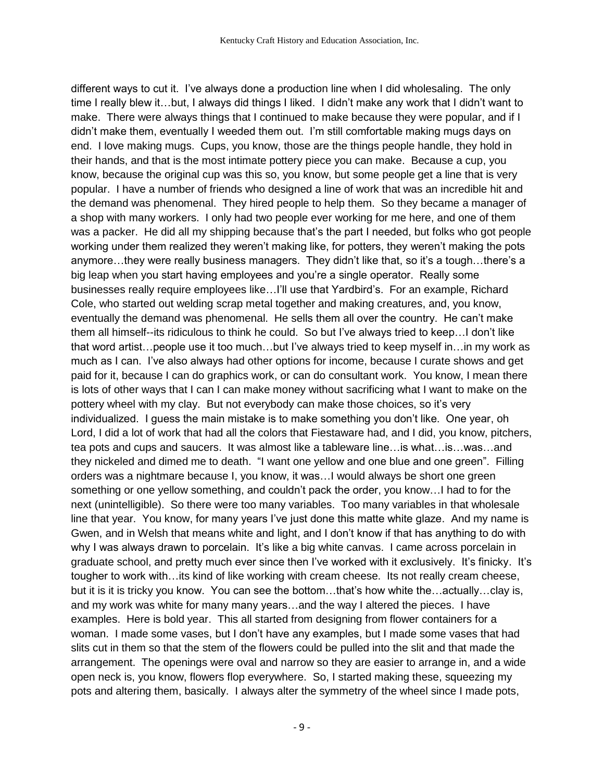different ways to cut it. I've always done a production line when I did wholesaling. The only time I really blew it…but, I always did things I liked. I didn't make any work that I didn't want to make. There were always things that I continued to make because they were popular, and if I didn't make them, eventually I weeded them out. I'm still comfortable making mugs days on end. I love making mugs. Cups, you know, those are the things people handle, they hold in their hands, and that is the most intimate pottery piece you can make. Because a cup, you know, because the original cup was this so, you know, but some people get a line that is very popular. I have a number of friends who designed a line of work that was an incredible hit and the demand was phenomenal. They hired people to help them. So they became a manager of a shop with many workers. I only had two people ever working for me here, and one of them was a packer. He did all my shipping because that's the part I needed, but folks who got people working under them realized they weren't making like, for potters, they weren't making the pots anymore…they were really business managers. They didn't like that, so it's a tough…there's a big leap when you start having employees and you're a single operator. Really some businesses really require employees like…I'll use that Yardbird's. For an example, Richard Cole, who started out welding scrap metal together and making creatures, and, you know, eventually the demand was phenomenal. He sells them all over the country. He can't make them all himself--its ridiculous to think he could. So but I've always tried to keep…I don't like that word artist…people use it too much…but I've always tried to keep myself in…in my work as much as I can. I've also always had other options for income, because I curate shows and get paid for it, because I can do graphics work, or can do consultant work. You know, I mean there is lots of other ways that I can I can make money without sacrificing what I want to make on the pottery wheel with my clay. But not everybody can make those choices, so it's very individualized. I guess the main mistake is to make something you don't like. One year, oh Lord, I did a lot of work that had all the colors that Fiestaware had, and I did, you know, pitchers, tea pots and cups and saucers. It was almost like a tableware line…is what…is…was…and they nickeled and dimed me to death. "I want one yellow and one blue and one green". Filling orders was a nightmare because I, you know, it was…I would always be short one green something or one yellow something, and couldn't pack the order, you know…I had to for the next (unintelligible). So there were too many variables. Too many variables in that wholesale line that year. You know, for many years I've just done this matte white glaze. And my name is Gwen, and in Welsh that means white and light, and I don't know if that has anything to do with why I was always drawn to porcelain. It's like a big white canvas. I came across porcelain in graduate school, and pretty much ever since then I've worked with it exclusively. It's finicky. It's tougher to work with…its kind of like working with cream cheese. Its not really cream cheese, but it is it is tricky you know. You can see the bottom…that's how white the…actually…clay is, and my work was white for many many years…and the way I altered the pieces. I have examples. Here is bold year. This all started from designing from flower containers for a woman. I made some vases, but I don't have any examples, but I made some vases that had slits cut in them so that the stem of the flowers could be pulled into the slit and that made the arrangement. The openings were oval and narrow so they are easier to arrange in, and a wide open neck is, you know, flowers flop everywhere. So, I started making these, squeezing my pots and altering them, basically. I always alter the symmetry of the wheel since I made pots,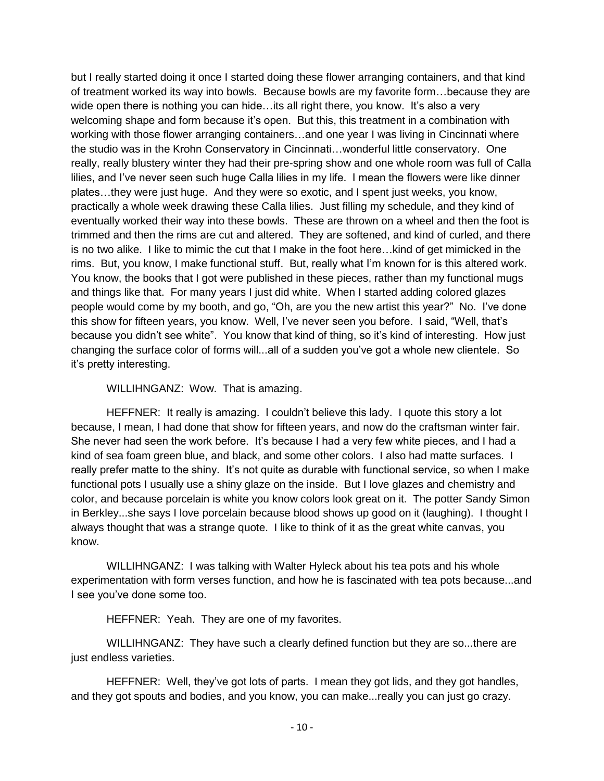but I really started doing it once I started doing these flower arranging containers, and that kind of treatment worked its way into bowls. Because bowls are my favorite form…because they are wide open there is nothing you can hide...its all right there, you know. It's also a very welcoming shape and form because it's open. But this, this treatment in a combination with working with those flower arranging containers…and one year I was living in Cincinnati where the studio was in the Krohn Conservatory in Cincinnati…wonderful little conservatory. One really, really blustery winter they had their pre-spring show and one whole room was full of Calla lilies, and I've never seen such huge Calla lilies in my life. I mean the flowers were like dinner plates…they were just huge. And they were so exotic, and I spent just weeks, you know, practically a whole week drawing these Calla lilies. Just filling my schedule, and they kind of eventually worked their way into these bowls. These are thrown on a wheel and then the foot is trimmed and then the rims are cut and altered. They are softened, and kind of curled, and there is no two alike. I like to mimic the cut that I make in the foot here…kind of get mimicked in the rims. But, you know, I make functional stuff. But, really what I'm known for is this altered work. You know, the books that I got were published in these pieces, rather than my functional mugs and things like that. For many years I just did white. When I started adding colored glazes people would come by my booth, and go, "Oh, are you the new artist this year?" No. I've done this show for fifteen years, you know. Well, I've never seen you before. I said, "Well, that's because you didn't see white". You know that kind of thing, so it's kind of interesting. How just changing the surface color of forms will...all of a sudden you've got a whole new clientele. So it's pretty interesting.

#### WILLIHNGANZ: Wow. That is amazing.

HEFFNER: It really is amazing. I couldn't believe this lady. I quote this story a lot because, I mean, I had done that show for fifteen years, and now do the craftsman winter fair. She never had seen the work before. It's because I had a very few white pieces, and I had a kind of sea foam green blue, and black, and some other colors. I also had matte surfaces. I really prefer matte to the shiny. It's not quite as durable with functional service, so when I make functional pots I usually use a shiny glaze on the inside. But I love glazes and chemistry and color, and because porcelain is white you know colors look great on it. The potter Sandy Simon in Berkley...she says I love porcelain because blood shows up good on it (laughing). I thought I always thought that was a strange quote. I like to think of it as the great white canvas, you know.

WILLIHNGANZ: I was talking with Walter Hyleck about his tea pots and his whole experimentation with form verses function, and how he is fascinated with tea pots because...and I see you've done some too.

HEFFNER: Yeah. They are one of my favorites.

WILLIHNGANZ: They have such a clearly defined function but they are so...there are just endless varieties.

HEFFNER: Well, they've got lots of parts. I mean they got lids, and they got handles, and they got spouts and bodies, and you know, you can make...really you can just go crazy.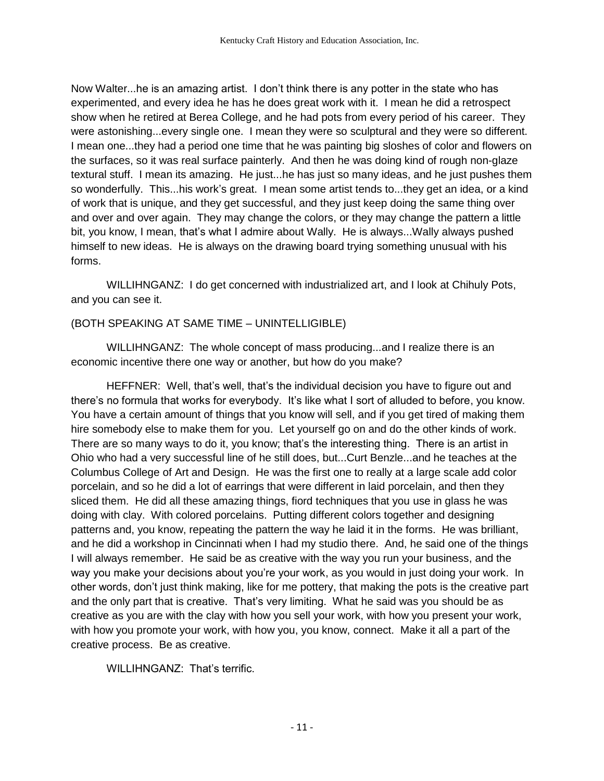Now Walter...he is an amazing artist. I don't think there is any potter in the state who has experimented, and every idea he has he does great work with it. I mean he did a retrospect show when he retired at Berea College, and he had pots from every period of his career. They were astonishing...every single one. I mean they were so sculptural and they were so different. I mean one...they had a period one time that he was painting big sloshes of color and flowers on the surfaces, so it was real surface painterly. And then he was doing kind of rough non-glaze textural stuff. I mean its amazing. He just...he has just so many ideas, and he just pushes them so wonderfully. This...his work's great. I mean some artist tends to...they get an idea, or a kind of work that is unique, and they get successful, and they just keep doing the same thing over and over and over again. They may change the colors, or they may change the pattern a little bit, you know, I mean, that's what I admire about Wally. He is always...Wally always pushed himself to new ideas. He is always on the drawing board trying something unusual with his forms.

WILLIHNGANZ: I do get concerned with industrialized art, and I look at Chihuly Pots, and you can see it.

## (BOTH SPEAKING AT SAME TIME – UNINTELLIGIBLE)

WILLIHNGANZ: The whole concept of mass producing...and I realize there is an economic incentive there one way or another, but how do you make?

HEFFNER: Well, that's well, that's the individual decision you have to figure out and there's no formula that works for everybody. It's like what I sort of alluded to before, you know. You have a certain amount of things that you know will sell, and if you get tired of making them hire somebody else to make them for you. Let yourself go on and do the other kinds of work. There are so many ways to do it, you know; that's the interesting thing. There is an artist in Ohio who had a very successful line of he still does, but...Curt Benzle...and he teaches at the Columbus College of Art and Design. He was the first one to really at a large scale add color porcelain, and so he did a lot of earrings that were different in laid porcelain, and then they sliced them. He did all these amazing things, fiord techniques that you use in glass he was doing with clay. With colored porcelains. Putting different colors together and designing patterns and, you know, repeating the pattern the way he laid it in the forms. He was brilliant, and he did a workshop in Cincinnati when I had my studio there. And, he said one of the things I will always remember. He said be as creative with the way you run your business, and the way you make your decisions about you're your work, as you would in just doing your work. In other words, don't just think making, like for me pottery, that making the pots is the creative part and the only part that is creative. That's very limiting. What he said was you should be as creative as you are with the clay with how you sell your work, with how you present your work, with how you promote your work, with how you, you know, connect. Make it all a part of the creative process. Be as creative.

WILLIHNGANZ: That's terrific.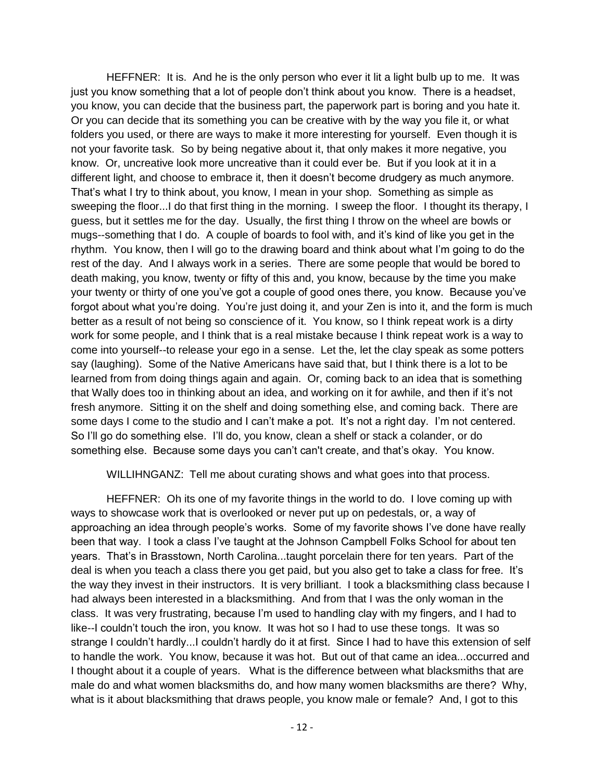HEFFNER: It is. And he is the only person who ever it lit a light bulb up to me. It was just you know something that a lot of people don't think about you know. There is a headset, you know, you can decide that the business part, the paperwork part is boring and you hate it. Or you can decide that its something you can be creative with by the way you file it, or what folders you used, or there are ways to make it more interesting for yourself. Even though it is not your favorite task. So by being negative about it, that only makes it more negative, you know. Or, uncreative look more uncreative than it could ever be. But if you look at it in a different light, and choose to embrace it, then it doesn't become drudgery as much anymore. That's what I try to think about, you know, I mean in your shop. Something as simple as sweeping the floor...I do that first thing in the morning. I sweep the floor. I thought its therapy, I guess, but it settles me for the day. Usually, the first thing I throw on the wheel are bowls or mugs--something that I do. A couple of boards to fool with, and it's kind of like you get in the rhythm. You know, then I will go to the drawing board and think about what I'm going to do the rest of the day. And I always work in a series. There are some people that would be bored to death making, you know, twenty or fifty of this and, you know, because by the time you make your twenty or thirty of one you've got a couple of good ones there, you know. Because you've forgot about what you're doing. You're just doing it, and your Zen is into it, and the form is much better as a result of not being so conscience of it. You know, so I think repeat work is a dirty work for some people, and I think that is a real mistake because I think repeat work is a way to come into yourself--to release your ego in a sense. Let the, let the clay speak as some potters say (laughing). Some of the Native Americans have said that, but I think there is a lot to be learned from from doing things again and again. Or, coming back to an idea that is something that Wally does too in thinking about an idea, and working on it for awhile, and then if it's not fresh anymore. Sitting it on the shelf and doing something else, and coming back. There are some days I come to the studio and I can't make a pot. It's not a right day. I'm not centered. So I'll go do something else. I'll do, you know, clean a shelf or stack a colander, or do something else. Because some days you can't can't create, and that's okay. You know.

WILLIHNGANZ: Tell me about curating shows and what goes into that process.

HEFFNER: Oh its one of my favorite things in the world to do. I love coming up with ways to showcase work that is overlooked or never put up on pedestals, or, a way of approaching an idea through people's works. Some of my favorite shows I've done have really been that way. I took a class I've taught at the Johnson Campbell Folks School for about ten years. That's in Brasstown, North Carolina...taught porcelain there for ten years. Part of the deal is when you teach a class there you get paid, but you also get to take a class for free. It's the way they invest in their instructors. It is very brilliant. I took a blacksmithing class because I had always been interested in a blacksmithing. And from that I was the only woman in the class. It was very frustrating, because I'm used to handling clay with my fingers, and I had to like--I couldn't touch the iron, you know. It was hot so I had to use these tongs. It was so strange I couldn't hardly...I couldn't hardly do it at first. Since I had to have this extension of self to handle the work. You know, because it was hot. But out of that came an idea...occurred and I thought about it a couple of years. What is the difference between what blacksmiths that are male do and what women blacksmiths do, and how many women blacksmiths are there? Why, what is it about blacksmithing that draws people, you know male or female? And, I got to this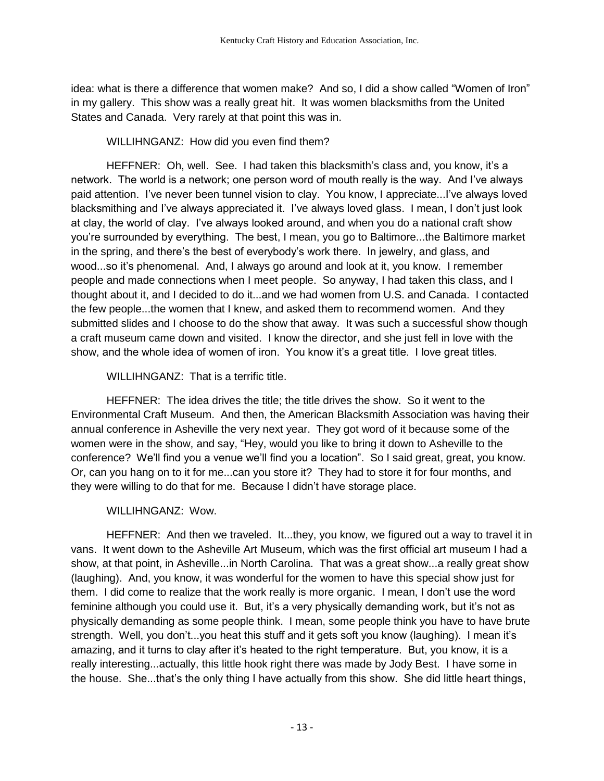idea: what is there a difference that women make? And so, I did a show called "Women of Iron" in my gallery. This show was a really great hit. It was women blacksmiths from the United States and Canada. Very rarely at that point this was in.

# WILLIHNGANZ: How did you even find them?

HEFFNER: Oh, well. See. I had taken this blacksmith's class and, you know, it's a network. The world is a network; one person word of mouth really is the way. And I've always paid attention. I've never been tunnel vision to clay. You know, I appreciate...I've always loved blacksmithing and I've always appreciated it. I've always loved glass. I mean, I don't just look at clay, the world of clay. I've always looked around, and when you do a national craft show you're surrounded by everything. The best, I mean, you go to Baltimore...the Baltimore market in the spring, and there's the best of everybody's work there. In jewelry, and glass, and wood...so it's phenomenal. And, I always go around and look at it, you know. I remember people and made connections when I meet people. So anyway, I had taken this class, and I thought about it, and I decided to do it...and we had women from U.S. and Canada. I contacted the few people...the women that I knew, and asked them to recommend women. And they submitted slides and I choose to do the show that away. It was such a successful show though a craft museum came down and visited. I know the director, and she just fell in love with the show, and the whole idea of women of iron. You know it's a great title. I love great titles.

# WILLIHNGANZ: That is a terrific title.

HEFFNER: The idea drives the title; the title drives the show. So it went to the Environmental Craft Museum. And then, the American Blacksmith Association was having their annual conference in Asheville the very next year. They got word of it because some of the women were in the show, and say, "Hey, would you like to bring it down to Asheville to the conference? We'll find you a venue we'll find you a location". So I said great, great, you know. Or, can you hang on to it for me...can you store it? They had to store it for four months, and they were willing to do that for me. Because I didn't have storage place.

# WILLIHNGANZ: Wow.

HEFFNER: And then we traveled. It...they, you know, we figured out a way to travel it in vans. It went down to the Asheville Art Museum, which was the first official art museum I had a show, at that point, in Asheville...in North Carolina. That was a great show...a really great show (laughing). And, you know, it was wonderful for the women to have this special show just for them. I did come to realize that the work really is more organic. I mean, I don't use the word feminine although you could use it. But, it's a very physically demanding work, but it's not as physically demanding as some people think. I mean, some people think you have to have brute strength. Well, you don't...you heat this stuff and it gets soft you know (laughing). I mean it's amazing, and it turns to clay after it's heated to the right temperature. But, you know, it is a really interesting...actually, this little hook right there was made by Jody Best. I have some in the house. She...that's the only thing I have actually from this show. She did little heart things,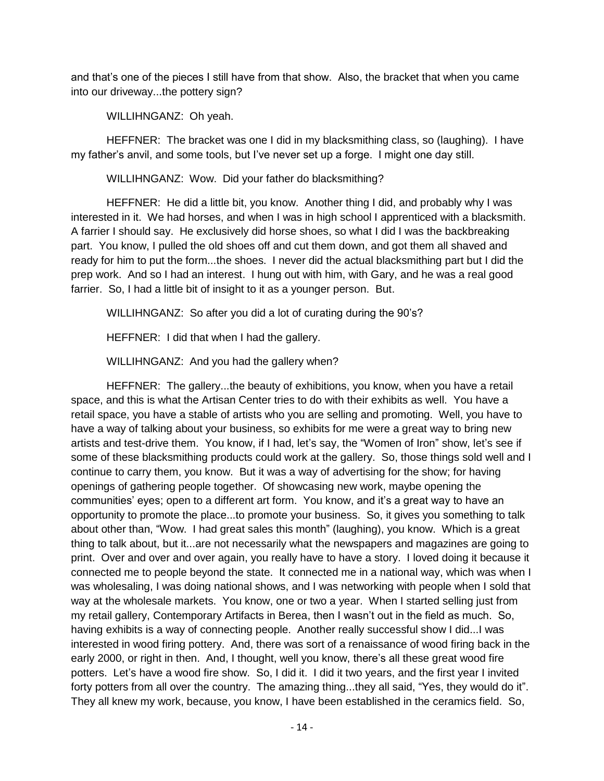and that's one of the pieces I still have from that show. Also, the bracket that when you came into our driveway...the pottery sign?

WILLIHNGANZ: Oh yeah.

HEFFNER: The bracket was one I did in my blacksmithing class, so (laughing). I have my father's anvil, and some tools, but I've never set up a forge. I might one day still.

WILLIHNGANZ: Wow. Did your father do blacksmithing?

HEFFNER: He did a little bit, you know. Another thing I did, and probably why I was interested in it. We had horses, and when I was in high school I apprenticed with a blacksmith. A farrier I should say. He exclusively did horse shoes, so what I did I was the backbreaking part. You know, I pulled the old shoes off and cut them down, and got them all shaved and ready for him to put the form...the shoes. I never did the actual blacksmithing part but I did the prep work. And so I had an interest. I hung out with him, with Gary, and he was a real good farrier. So, I had a little bit of insight to it as a younger person. But.

WILLIHNGANZ: So after you did a lot of curating during the 90's?

HEFFNER: I did that when I had the gallery.

WILLIHNGANZ: And you had the gallery when?

HEFFNER: The gallery...the beauty of exhibitions, you know, when you have a retail space, and this is what the Artisan Center tries to do with their exhibits as well. You have a retail space, you have a stable of artists who you are selling and promoting. Well, you have to have a way of talking about your business, so exhibits for me were a great way to bring new artists and test-drive them. You know, if I had, let's say, the "Women of Iron" show, let's see if some of these blacksmithing products could work at the gallery. So, those things sold well and I continue to carry them, you know. But it was a way of advertising for the show; for having openings of gathering people together. Of showcasing new work, maybe opening the communities' eyes; open to a different art form. You know, and it's a great way to have an opportunity to promote the place...to promote your business. So, it gives you something to talk about other than, "Wow. I had great sales this month" (laughing), you know. Which is a great thing to talk about, but it...are not necessarily what the newspapers and magazines are going to print. Over and over and over again, you really have to have a story. I loved doing it because it connected me to people beyond the state. It connected me in a national way, which was when I was wholesaling, I was doing national shows, and I was networking with people when I sold that way at the wholesale markets. You know, one or two a year. When I started selling just from my retail gallery, Contemporary Artifacts in Berea, then I wasn't out in the field as much. So, having exhibits is a way of connecting people. Another really successful show I did...I was interested in wood firing pottery. And, there was sort of a renaissance of wood firing back in the early 2000, or right in then. And, I thought, well you know, there's all these great wood fire potters. Let's have a wood fire show. So, I did it. I did it two years, and the first year I invited forty potters from all over the country. The amazing thing...they all said, "Yes, they would do it". They all knew my work, because, you know, I have been established in the ceramics field. So,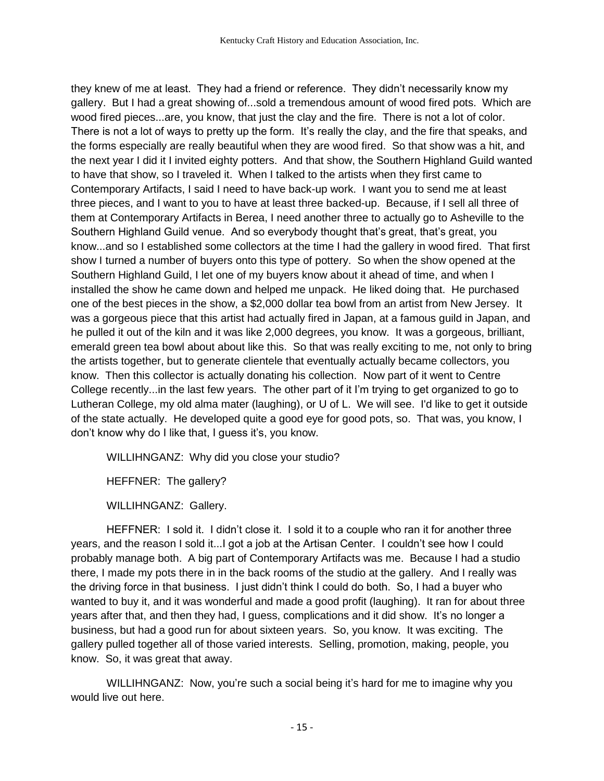they knew of me at least. They had a friend or reference. They didn't necessarily know my gallery. But I had a great showing of...sold a tremendous amount of wood fired pots. Which are wood fired pieces...are, you know, that just the clay and the fire. There is not a lot of color. There is not a lot of ways to pretty up the form. It's really the clay, and the fire that speaks, and the forms especially are really beautiful when they are wood fired. So that show was a hit, and the next year I did it I invited eighty potters. And that show, the Southern Highland Guild wanted to have that show, so I traveled it. When I talked to the artists when they first came to Contemporary Artifacts, I said I need to have back-up work. I want you to send me at least three pieces, and I want to you to have at least three backed-up. Because, if I sell all three of them at Contemporary Artifacts in Berea, I need another three to actually go to Asheville to the Southern Highland Guild venue. And so everybody thought that's great, that's great, you know...and so I established some collectors at the time I had the gallery in wood fired. That first show I turned a number of buyers onto this type of pottery. So when the show opened at the Southern Highland Guild, I let one of my buyers know about it ahead of time, and when I installed the show he came down and helped me unpack. He liked doing that. He purchased one of the best pieces in the show, a \$2,000 dollar tea bowl from an artist from New Jersey. It was a gorgeous piece that this artist had actually fired in Japan, at a famous guild in Japan, and he pulled it out of the kiln and it was like 2,000 degrees, you know. It was a gorgeous, brilliant, emerald green tea bowl about about like this. So that was really exciting to me, not only to bring the artists together, but to generate clientele that eventually actually became collectors, you know. Then this collector is actually donating his collection. Now part of it went to Centre College recently...in the last few years. The other part of it I'm trying to get organized to go to Lutheran College, my old alma mater (laughing), or U of L. We will see. I'd like to get it outside of the state actually. He developed quite a good eye for good pots, so. That was, you know, I don't know why do I like that, I guess it's, you know.

WILLIHNGANZ: Why did you close your studio?

HEFFNER: The gallery?

WILLIHNGANZ: Gallery.

HEFFNER: I sold it. I didn't close it. I sold it to a couple who ran it for another three years, and the reason I sold it...I got a job at the Artisan Center. I couldn't see how I could probably manage both. A big part of Contemporary Artifacts was me. Because I had a studio there, I made my pots there in in the back rooms of the studio at the gallery. And I really was the driving force in that business. I just didn't think I could do both. So, I had a buyer who wanted to buy it, and it was wonderful and made a good profit (laughing). It ran for about three years after that, and then they had, I guess, complications and it did show. It's no longer a business, but had a good run for about sixteen years. So, you know. It was exciting. The gallery pulled together all of those varied interests. Selling, promotion, making, people, you know. So, it was great that away.

WILLIHNGANZ: Now, you're such a social being it's hard for me to imagine why you would live out here.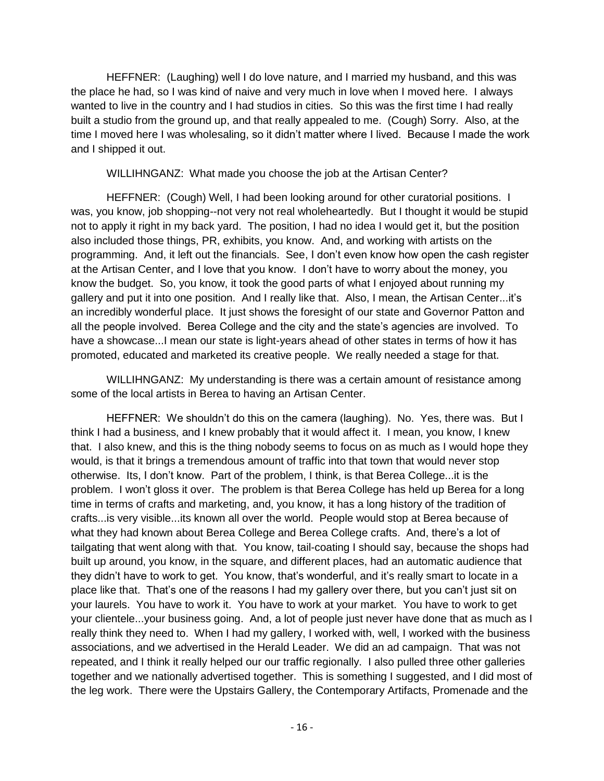HEFFNER: (Laughing) well I do love nature, and I married my husband, and this was the place he had, so I was kind of naive and very much in love when I moved here. I always wanted to live in the country and I had studios in cities. So this was the first time I had really built a studio from the ground up, and that really appealed to me. (Cough) Sorry. Also, at the time I moved here I was wholesaling, so it didn't matter where I lived. Because I made the work and I shipped it out.

WILLIHNGANZ: What made you choose the job at the Artisan Center?

HEFFNER: (Cough) Well, I had been looking around for other curatorial positions. I was, you know, job shopping--not very not real wholeheartedly. But I thought it would be stupid not to apply it right in my back yard. The position, I had no idea I would get it, but the position also included those things, PR, exhibits, you know. And, and working with artists on the programming. And, it left out the financials. See, I don't even know how open the cash register at the Artisan Center, and I love that you know. I don't have to worry about the money, you know the budget. So, you know, it took the good parts of what I enjoyed about running my gallery and put it into one position. And I really like that. Also, I mean, the Artisan Center...it's an incredibly wonderful place. It just shows the foresight of our state and Governor Patton and all the people involved. Berea College and the city and the state's agencies are involved. To have a showcase...I mean our state is light-years ahead of other states in terms of how it has promoted, educated and marketed its creative people. We really needed a stage for that.

WILLIHNGANZ: My understanding is there was a certain amount of resistance among some of the local artists in Berea to having an Artisan Center.

HEFFNER: We shouldn't do this on the camera (laughing). No. Yes, there was. But I think I had a business, and I knew probably that it would affect it. I mean, you know, I knew that. I also knew, and this is the thing nobody seems to focus on as much as I would hope they would, is that it brings a tremendous amount of traffic into that town that would never stop otherwise. Its, I don't know. Part of the problem, I think, is that Berea College...it is the problem. I won't gloss it over. The problem is that Berea College has held up Berea for a long time in terms of crafts and marketing, and, you know, it has a long history of the tradition of crafts...is very visible...its known all over the world. People would stop at Berea because of what they had known about Berea College and Berea College crafts. And, there's a lot of tailgating that went along with that. You know, tail-coating I should say, because the shops had built up around, you know, in the square, and different places, had an automatic audience that they didn't have to work to get. You know, that's wonderful, and it's really smart to locate in a place like that. That's one of the reasons I had my gallery over there, but you can't just sit on your laurels. You have to work it. You have to work at your market. You have to work to get your clientele...your business going. And, a lot of people just never have done that as much as I really think they need to. When I had my gallery, I worked with, well, I worked with the business associations, and we advertised in the Herald Leader. We did an ad campaign. That was not repeated, and I think it really helped our our traffic regionally. I also pulled three other galleries together and we nationally advertised together. This is something I suggested, and I did most of the leg work. There were the Upstairs Gallery, the Contemporary Artifacts, Promenade and the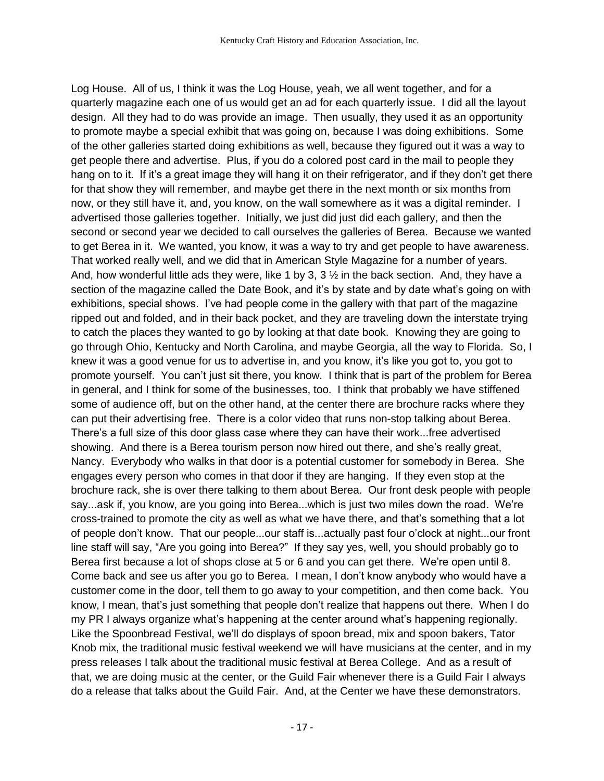Log House. All of us, I think it was the Log House, yeah, we all went together, and for a quarterly magazine each one of us would get an ad for each quarterly issue. I did all the layout design. All they had to do was provide an image. Then usually, they used it as an opportunity to promote maybe a special exhibit that was going on, because I was doing exhibitions. Some of the other galleries started doing exhibitions as well, because they figured out it was a way to get people there and advertise. Plus, if you do a colored post card in the mail to people they hang on to it. If it's a great image they will hang it on their refrigerator, and if they don't get there for that show they will remember, and maybe get there in the next month or six months from now, or they still have it, and, you know, on the wall somewhere as it was a digital reminder. I advertised those galleries together. Initially, we just did just did each gallery, and then the second or second year we decided to call ourselves the galleries of Berea. Because we wanted to get Berea in it. We wanted, you know, it was a way to try and get people to have awareness. That worked really well, and we did that in American Style Magazine for a number of years. And, how wonderful little ads they were, like 1 by 3,  $3\frac{1}{2}$  in the back section. And, they have a section of the magazine called the Date Book, and it's by state and by date what's going on with exhibitions, special shows. I've had people come in the gallery with that part of the magazine ripped out and folded, and in their back pocket, and they are traveling down the interstate trying to catch the places they wanted to go by looking at that date book. Knowing they are going to go through Ohio, Kentucky and North Carolina, and maybe Georgia, all the way to Florida. So, I knew it was a good venue for us to advertise in, and you know, it's like you got to, you got to promote yourself. You can't just sit there, you know. I think that is part of the problem for Berea in general, and I think for some of the businesses, too. I think that probably we have stiffened some of audience off, but on the other hand, at the center there are brochure racks where they can put their advertising free. There is a color video that runs non-stop talking about Berea. There's a full size of this door glass case where they can have their work...free advertised showing. And there is a Berea tourism person now hired out there, and she's really great, Nancy. Everybody who walks in that door is a potential customer for somebody in Berea. She engages every person who comes in that door if they are hanging. If they even stop at the brochure rack, she is over there talking to them about Berea. Our front desk people with people say...ask if, you know, are you going into Berea...which is just two miles down the road. We're cross-trained to promote the city as well as what we have there, and that's something that a lot of people don't know. That our people...our staff is...actually past four o'clock at night...our front line staff will say, "Are you going into Berea?" If they say yes, well, you should probably go to Berea first because a lot of shops close at 5 or 6 and you can get there. We're open until 8. Come back and see us after you go to Berea. I mean, I don't know anybody who would have a customer come in the door, tell them to go away to your competition, and then come back. You know, I mean, that's just something that people don't realize that happens out there. When I do my PR I always organize what's happening at the center around what's happening regionally. Like the Spoonbread Festival, we'll do displays of spoon bread, mix and spoon bakers, Tator Knob mix, the traditional music festival weekend we will have musicians at the center, and in my press releases I talk about the traditional music festival at Berea College. And as a result of that, we are doing music at the center, or the Guild Fair whenever there is a Guild Fair I always do a release that talks about the Guild Fair. And, at the Center we have these demonstrators.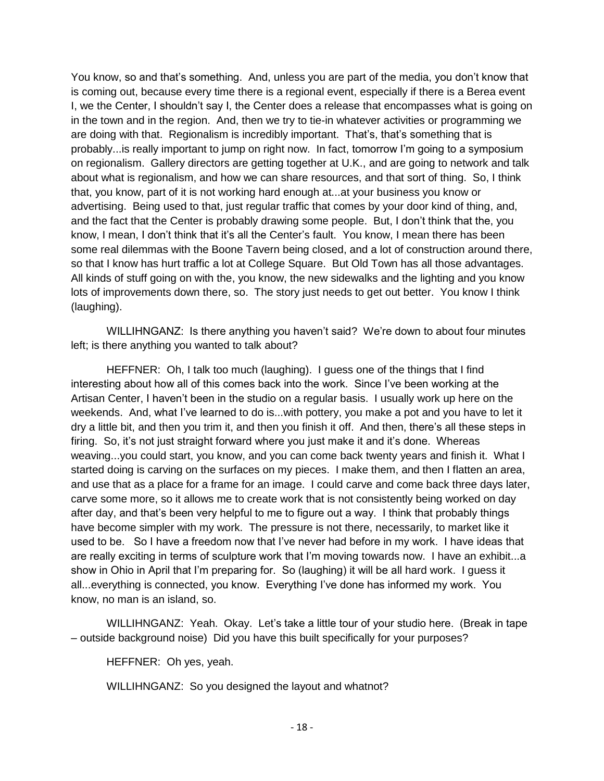You know, so and that's something. And, unless you are part of the media, you don't know that is coming out, because every time there is a regional event, especially if there is a Berea event I, we the Center, I shouldn't say I, the Center does a release that encompasses what is going on in the town and in the region. And, then we try to tie-in whatever activities or programming we are doing with that. Regionalism is incredibly important. That's, that's something that is probably...is really important to jump on right now. In fact, tomorrow I'm going to a symposium on regionalism. Gallery directors are getting together at U.K., and are going to network and talk about what is regionalism, and how we can share resources, and that sort of thing. So, I think that, you know, part of it is not working hard enough at...at your business you know or advertising. Being used to that, just regular traffic that comes by your door kind of thing, and, and the fact that the Center is probably drawing some people. But, I don't think that the, you know, I mean, I don't think that it's all the Center's fault. You know, I mean there has been some real dilemmas with the Boone Tavern being closed, and a lot of construction around there, so that I know has hurt traffic a lot at College Square. But Old Town has all those advantages. All kinds of stuff going on with the, you know, the new sidewalks and the lighting and you know lots of improvements down there, so. The story just needs to get out better. You know I think (laughing).

WILLIHNGANZ: Is there anything you haven't said? We're down to about four minutes left; is there anything you wanted to talk about?

HEFFNER: Oh, I talk too much (laughing). I guess one of the things that I find interesting about how all of this comes back into the work. Since I've been working at the Artisan Center, I haven't been in the studio on a regular basis. I usually work up here on the weekends. And, what I've learned to do is...with pottery, you make a pot and you have to let it dry a little bit, and then you trim it, and then you finish it off. And then, there's all these steps in firing. So, it's not just straight forward where you just make it and it's done. Whereas weaving...you could start, you know, and you can come back twenty years and finish it. What I started doing is carving on the surfaces on my pieces. I make them, and then I flatten an area, and use that as a place for a frame for an image. I could carve and come back three days later, carve some more, so it allows me to create work that is not consistently being worked on day after day, and that's been very helpful to me to figure out a way. I think that probably things have become simpler with my work. The pressure is not there, necessarily, to market like it used to be. So I have a freedom now that I've never had before in my work. I have ideas that are really exciting in terms of sculpture work that I'm moving towards now. I have an exhibit...a show in Ohio in April that I'm preparing for. So (laughing) it will be all hard work. I guess it all...everything is connected, you know. Everything I've done has informed my work. You know, no man is an island, so.

WILLIHNGANZ: Yeah. Okay. Let's take a little tour of your studio here. (Break in tape – outside background noise) Did you have this built specifically for your purposes?

HEFFNER: Oh yes, yeah.

WILLIHNGANZ: So you designed the layout and whatnot?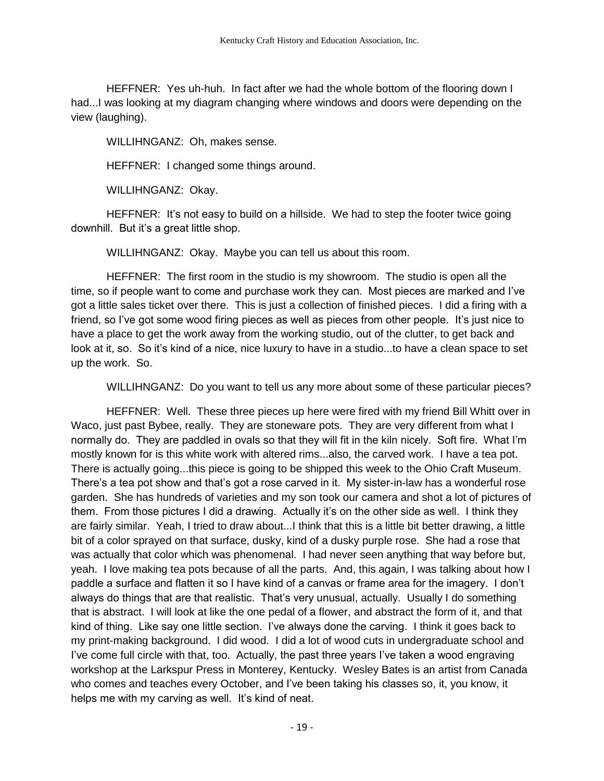HEFFNER: Yes uh-huh. In fact after we had the whole bottom of the flooring down I had...I was looking at my diagram changing where windows and doors were depending on the view (laughing).

WILLIHNGANZ: Oh, makes sense.

HEFFNER: I changed some things around.

WILLIHNGANZ: Okay.

HEFFNER: It's not easy to build on a hillside. We had to step the footer twice going downhill. But it's a great little shop.

WILLIHNGANZ: Okay. Maybe you can tell us about this room.

HEFFNER: The first room in the studio is my showroom. The studio is open all the time, so if people want to come and purchase work they can. Most pieces are marked and I've got a little sales ticket over there. This is just a collection of finished pieces. I did a firing with a friend, so I've got some wood firing pieces as well as pieces from other people. It's just nice to have a place to get the work away from the working studio, out of the clutter, to get back and look at it, so. So it's kind of a nice, nice luxury to have in a studio...to have a clean space to set up the work. So.

WILLIHNGANZ: Do you want to tell us any more about some of these particular pieces?

HEFFNER: Well. These three pieces up here were fired with my friend Bill Whitt over in Waco, just past Bybee, really. They are stoneware pots. They are very different from what I normally do. They are paddled in ovals so that they will fit in the kiln nicely. Soft fire. What I'm mostly known for is this white work with altered rims...also, the carved work. I have a tea pot. There is actually going...this piece is going to be shipped this week to the Ohio Craft Museum. There's a tea pot show and that's got a rose carved in it. My sister-in-law has a wonderful rose garden. She has hundreds of varieties and my son took our camera and shot a lot of pictures of them. From those pictures I did a drawing. Actually it's on the other side as well. I think they are fairly similar. Yeah, I tried to draw about...I think that this is a little bit better drawing, a little bit of a color sprayed on that surface, dusky, kind of a dusky purple rose. She had a rose that was actually that color which was phenomenal. I had never seen anything that way before but, yeah. I love making tea pots because of all the parts. And, this again, I was talking about how I paddle a surface and flatten it so I have kind of a canvas or frame area for the imagery. I don't always do things that are that realistic. That's very unusual, actually. Usually I do something that is abstract. I will look at like the one pedal of a flower, and abstract the form of it, and that kind of thing. Like say one little section. I've always done the carving. I think it goes back to my print-making background. I did wood. I did a lot of wood cuts in undergraduate school and I've come full circle with that, too. Actually, the past three years I've taken a wood engraving workshop at the Larkspur Press in Monterey, Kentucky. Wesley Bates is an artist from Canada who comes and teaches every October, and I've been taking his classes so, it, you know, it helps me with my carving as well. It's kind of neat.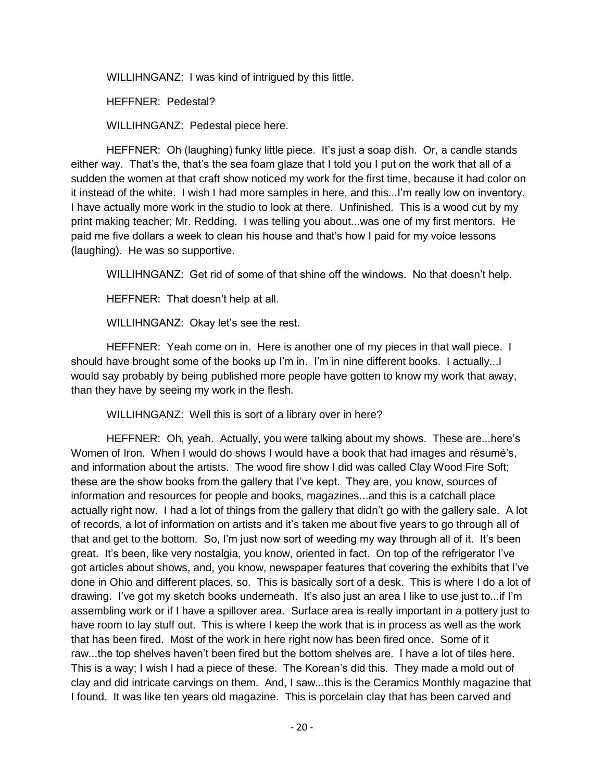WILLIHNGANZ: I was kind of intrigued by this little.

HEFFNER: Pedestal?

WILLIHNGANZ: Pedestal piece here.

HEFFNER: Oh (laughing) funky little piece. It's just a soap dish. Or, a candle stands either way. That's the, that's the sea foam glaze that I told you I put on the work that all of a sudden the women at that craft show noticed my work for the first time, because it had color on it instead of the white. I wish I had more samples in here, and this...I'm really low on inventory. I have actually more work in the studio to look at there. Unfinished. This is a wood cut by my print making teacher; Mr. Redding. I was telling you about...was one of my first mentors. He paid me five dollars a week to clean his house and that's how I paid for my voice lessons (laughing). He was so supportive.

WILLIHNGANZ: Get rid of some of that shine off the windows. No that doesn't help.

HEFFNER: That doesn't help at all.

WILLIHNGANZ: Okay let's see the rest.

HEFFNER: Yeah come on in. Here is another one of my pieces in that wall piece. I should have brought some of the books up I'm in. I'm in nine different books. I actually...I would say probably by being published more people have gotten to know my work that away, than they have by seeing my work in the flesh.

WILLIHNGANZ: Well this is sort of a library over in here?

HEFFNER: Oh, yeah. Actually, you were talking about my shows. These are...here's Women of Iron. When I would do shows I would have a book that had images and résumé's, and information about the artists. The wood fire show I did was called Clay Wood Fire Soft; these are the show books from the gallery that I've kept. They are, you know, sources of information and resources for people and books, magazines...and this is a catchall place actually right now. I had a lot of things from the gallery that didn't go with the gallery sale. A lot of records, a lot of information on artists and it's taken me about five years to go through all of that and get to the bottom. So, I'm just now sort of weeding my way through all of it. It's been great. It's been, like very nostalgia, you know, oriented in fact. On top of the refrigerator I've got articles about shows, and, you know, newspaper features that covering the exhibits that I've done in Ohio and different places, so. This is basically sort of a desk. This is where I do a lot of drawing. I've got my sketch books underneath. It's also just an area I like to use just to...if I'm assembling work or if I have a spillover area. Surface area is really important in a pottery just to have room to lay stuff out. This is where I keep the work that is in process as well as the work that has been fired. Most of the work in here right now has been fired once. Some of it raw...the top shelves haven't been fired but the bottom shelves are. I have a lot of tiles here. This is a way; I wish I had a piece of these. The Korean's did this. They made a mold out of clay and did intricate carvings on them. And, I saw...this is the Ceramics Monthly magazine that I found. It was like ten years old magazine. This is porcelain clay that has been carved and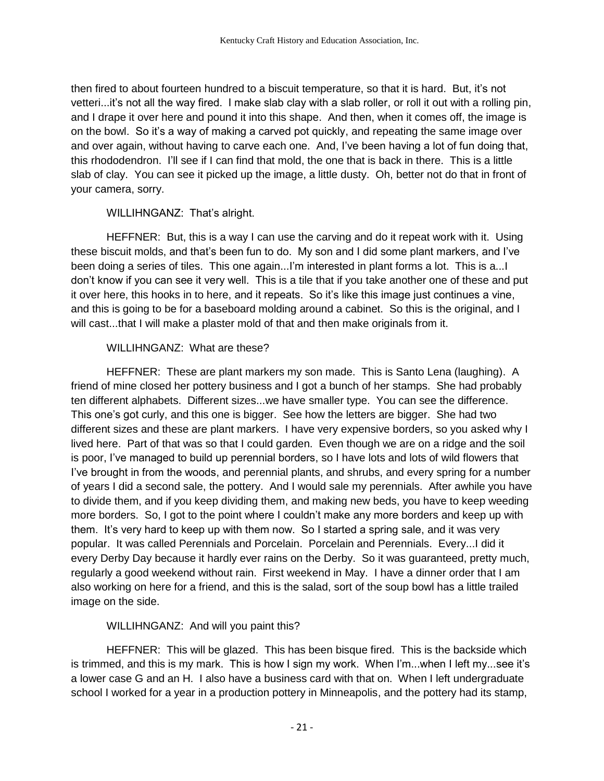then fired to about fourteen hundred to a biscuit temperature, so that it is hard. But, it's not vetteri...it's not all the way fired. I make slab clay with a slab roller, or roll it out with a rolling pin, and I drape it over here and pound it into this shape. And then, when it comes off, the image is on the bowl. So it's a way of making a carved pot quickly, and repeating the same image over and over again, without having to carve each one. And, I've been having a lot of fun doing that, this rhododendron. I'll see if I can find that mold, the one that is back in there. This is a little slab of clay. You can see it picked up the image, a little dusty. Oh, better not do that in front of your camera, sorry.

#### WILLIHNGANZ: That's alright.

HEFFNER: But, this is a way I can use the carving and do it repeat work with it. Using these biscuit molds, and that's been fun to do. My son and I did some plant markers, and I've been doing a series of tiles. This one again...I'm interested in plant forms a lot. This is a...I don't know if you can see it very well. This is a tile that if you take another one of these and put it over here, this hooks in to here, and it repeats. So it's like this image just continues a vine, and this is going to be for a baseboard molding around a cabinet. So this is the original, and I will cast...that I will make a plaster mold of that and then make originals from it.

## WILLIHNGANZ: What are these?

HEFFNER: These are plant markers my son made. This is Santo Lena (laughing). A friend of mine closed her pottery business and I got a bunch of her stamps. She had probably ten different alphabets. Different sizes...we have smaller type. You can see the difference. This one's got curly, and this one is bigger. See how the letters are bigger. She had two different sizes and these are plant markers. I have very expensive borders, so you asked why I lived here. Part of that was so that I could garden. Even though we are on a ridge and the soil is poor, I've managed to build up perennial borders, so I have lots and lots of wild flowers that I've brought in from the woods, and perennial plants, and shrubs, and every spring for a number of years I did a second sale, the pottery. And I would sale my perennials. After awhile you have to divide them, and if you keep dividing them, and making new beds, you have to keep weeding more borders. So, I got to the point where I couldn't make any more borders and keep up with them. It's very hard to keep up with them now. So I started a spring sale, and it was very popular. It was called Perennials and Porcelain. Porcelain and Perennials. Every...I did it every Derby Day because it hardly ever rains on the Derby. So it was guaranteed, pretty much, regularly a good weekend without rain. First weekend in May. I have a dinner order that I am also working on here for a friend, and this is the salad, sort of the soup bowl has a little trailed image on the side.

## WILLIHNGANZ: And will you paint this?

HEFFNER: This will be glazed. This has been bisque fired. This is the backside which is trimmed, and this is my mark. This is how I sign my work. When I'm...when I left my...see it's a lower case G and an H. I also have a business card with that on. When I left undergraduate school I worked for a year in a production pottery in Minneapolis, and the pottery had its stamp,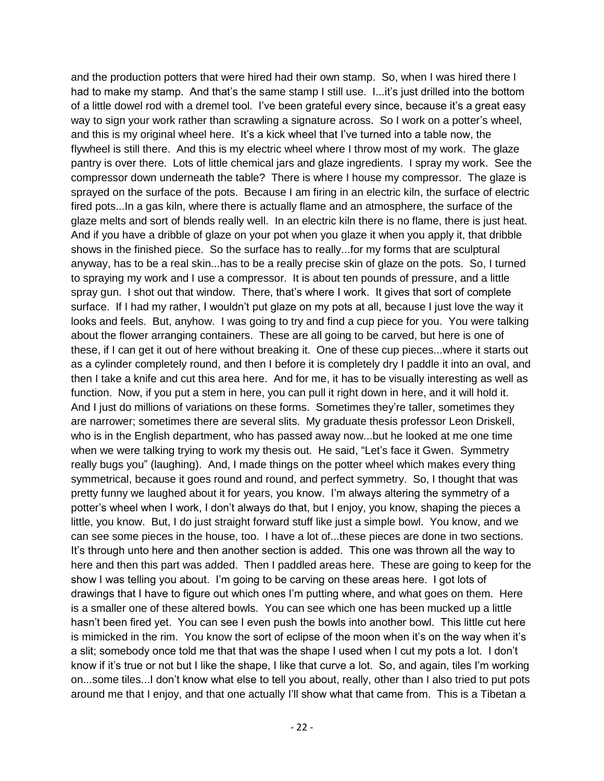and the production potters that were hired had their own stamp. So, when I was hired there I had to make my stamp. And that's the same stamp I still use. I...it's just drilled into the bottom of a little dowel rod with a dremel tool. I've been grateful every since, because it's a great easy way to sign your work rather than scrawling a signature across. So I work on a potter's wheel, and this is my original wheel here. It's a kick wheel that I've turned into a table now, the flywheel is still there. And this is my electric wheel where I throw most of my work. The glaze pantry is over there. Lots of little chemical jars and glaze ingredients. I spray my work. See the compressor down underneath the table? There is where I house my compressor. The glaze is sprayed on the surface of the pots. Because I am firing in an electric kiln, the surface of electric fired pots...In a gas kiln, where there is actually flame and an atmosphere, the surface of the glaze melts and sort of blends really well. In an electric kiln there is no flame, there is just heat. And if you have a dribble of glaze on your pot when you glaze it when you apply it, that dribble shows in the finished piece. So the surface has to really...for my forms that are sculptural anyway, has to be a real skin...has to be a really precise skin of glaze on the pots. So, I turned to spraying my work and I use a compressor. It is about ten pounds of pressure, and a little spray gun. I shot out that window. There, that's where I work. It gives that sort of complete surface. If I had my rather, I wouldn't put glaze on my pots at all, because I just love the way it looks and feels. But, anyhow. I was going to try and find a cup piece for you. You were talking about the flower arranging containers. These are all going to be carved, but here is one of these, if I can get it out of here without breaking it. One of these cup pieces...where it starts out as a cylinder completely round, and then I before it is completely dry I paddle it into an oval, and then I take a knife and cut this area here. And for me, it has to be visually interesting as well as function. Now, if you put a stem in here, you can pull it right down in here, and it will hold it. And I just do millions of variations on these forms. Sometimes they're taller, sometimes they are narrower; sometimes there are several slits. My graduate thesis professor Leon Driskell, who is in the English department, who has passed away now...but he looked at me one time when we were talking trying to work my thesis out. He said, "Let's face it Gwen. Symmetry really bugs you" (laughing). And, I made things on the potter wheel which makes every thing symmetrical, because it goes round and round, and perfect symmetry. So, I thought that was pretty funny we laughed about it for years, you know. I'm always altering the symmetry of a potter's wheel when I work, I don't always do that, but I enjoy, you know, shaping the pieces a little, you know. But, I do just straight forward stuff like just a simple bowl. You know, and we can see some pieces in the house, too. I have a lot of...these pieces are done in two sections. It's through unto here and then another section is added. This one was thrown all the way to here and then this part was added. Then I paddled areas here. These are going to keep for the show I was telling you about. I'm going to be carving on these areas here. I got lots of drawings that I have to figure out which ones I'm putting where, and what goes on them. Here is a smaller one of these altered bowls. You can see which one has been mucked up a little hasn't been fired yet. You can see I even push the bowls into another bowl. This little cut here is mimicked in the rim. You know the sort of eclipse of the moon when it's on the way when it's a slit; somebody once told me that that was the shape I used when I cut my pots a lot. I don't know if it's true or not but I like the shape, I like that curve a lot. So, and again, tiles I'm working on...some tiles...I don't know what else to tell you about, really, other than I also tried to put pots around me that I enjoy, and that one actually I'll show what that came from. This is a Tibetan a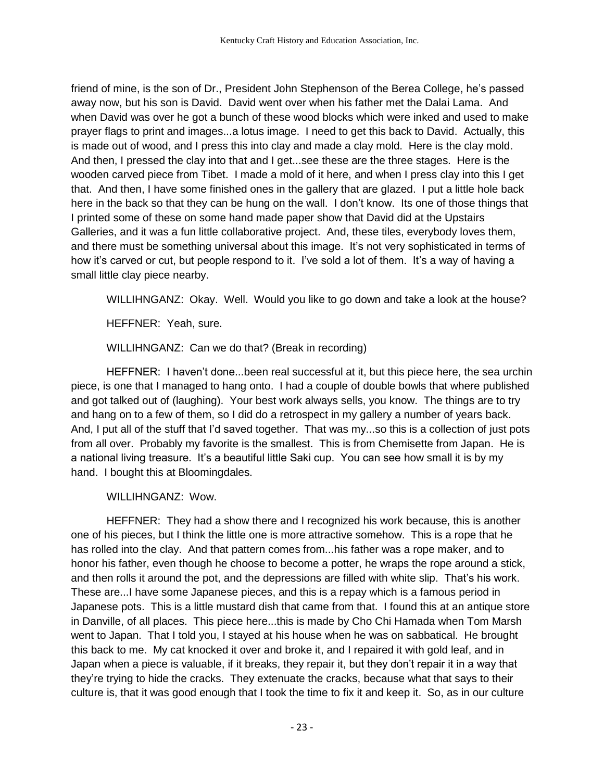friend of mine, is the son of Dr., President John Stephenson of the Berea College, he's passed away now, but his son is David. David went over when his father met the Dalai Lama. And when David was over he got a bunch of these wood blocks which were inked and used to make prayer flags to print and images...a lotus image. I need to get this back to David. Actually, this is made out of wood, and I press this into clay and made a clay mold. Here is the clay mold. And then, I pressed the clay into that and I get...see these are the three stages. Here is the wooden carved piece from Tibet. I made a mold of it here, and when I press clay into this I get that. And then, I have some finished ones in the gallery that are glazed. I put a little hole back here in the back so that they can be hung on the wall. I don't know. Its one of those things that I printed some of these on some hand made paper show that David did at the Upstairs Galleries, and it was a fun little collaborative project. And, these tiles, everybody loves them, and there must be something universal about this image. It's not very sophisticated in terms of how it's carved or cut, but people respond to it. I've sold a lot of them. It's a way of having a small little clay piece nearby.

WILLIHNGANZ: Okay. Well. Would you like to go down and take a look at the house?

HEFFNER: Yeah, sure.

WILLIHNGANZ: Can we do that? (Break in recording)

HEFFNER: I haven't done...been real successful at it, but this piece here, the sea urchin piece, is one that I managed to hang onto. I had a couple of double bowls that where published and got talked out of (laughing). Your best work always sells, you know. The things are to try and hang on to a few of them, so I did do a retrospect in my gallery a number of years back. And, I put all of the stuff that I'd saved together. That was my...so this is a collection of just pots from all over. Probably my favorite is the smallest. This is from Chemisette from Japan. He is a national living treasure. It's a beautiful little Saki cup. You can see how small it is by my hand. I bought this at Bloomingdales.

WILLIHNGANZ: Wow.

HEFFNER: They had a show there and I recognized his work because, this is another one of his pieces, but I think the little one is more attractive somehow. This is a rope that he has rolled into the clay. And that pattern comes from...his father was a rope maker, and to honor his father, even though he choose to become a potter, he wraps the rope around a stick, and then rolls it around the pot, and the depressions are filled with white slip. That's his work. These are...I have some Japanese pieces, and this is a repay which is a famous period in Japanese pots. This is a little mustard dish that came from that. I found this at an antique store in Danville, of all places. This piece here...this is made by Cho Chi Hamada when Tom Marsh went to Japan. That I told you, I stayed at his house when he was on sabbatical. He brought this back to me. My cat knocked it over and broke it, and I repaired it with gold leaf, and in Japan when a piece is valuable, if it breaks, they repair it, but they don't repair it in a way that they're trying to hide the cracks. They extenuate the cracks, because what that says to their culture is, that it was good enough that I took the time to fix it and keep it. So, as in our culture